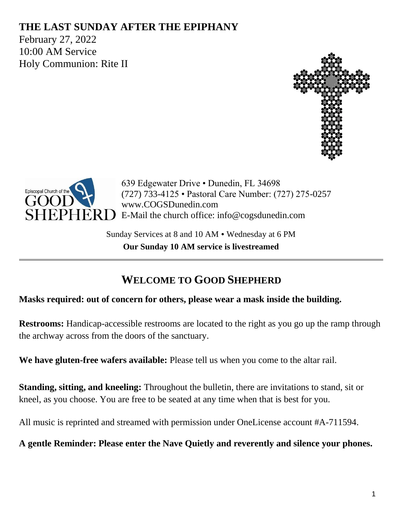# **THE LAST SUNDAY AFTER THE EPIPHANY**

February 27, 2022 10:00 AM Service Holy Communion: Rite II





639 Edgewater Drive • Dunedin, FL 34698 (727) 733-4125 • Pastoral Care Number: (727) 275-0257 www.COGSDunedin.com E-Mail the church office: info@cogsdunedin.com

Sunday Services at 8 and 10 AM • Wednesday at 6 PM **Our Sunday 10 AM service is livestreamed**

# **WELCOME TO GOOD SHEPHERD**

## **Masks required: out of concern for others, please wear a mask inside the building.**

**Restrooms:** Handicap-accessible restrooms are located to the right as you go up the ramp through the archway across from the doors of the sanctuary.

**We have gluten-free wafers available:** Please tell us when you come to the altar rail.

**Standing, sitting, and kneeling:** Throughout the bulletin, there are invitations to stand, sit or kneel, as you choose. You are free to be seated at any time when that is best for you.

All music is reprinted and streamed with permission under OneLicense account #A-711594.

**A gentle Reminder: Please enter the Nave Quietly and reverently and silence your phones.**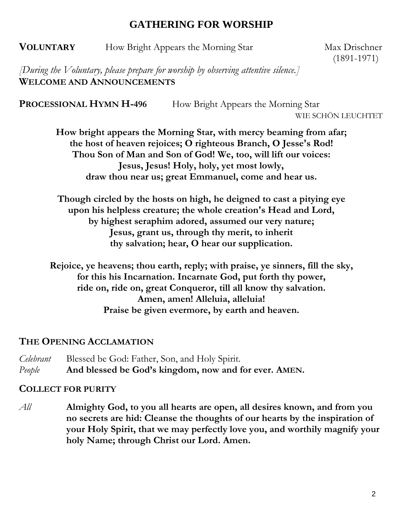# **GATHERING FOR WORSHIP**

**VOLUNTARY** How Bright Appears the Morning Star Max Drischner

(1891-1971)

*[During the Voluntary, please prepare for worship by observing attentive silence.]* **WELCOME AND ANNOUNCEMENTS**

**PROCESSIONAL HYMN H-496** How Bright Appears the Morning Star

WIE SCHÖN LEUCHTET

**How bright appears the Morning Star, with mercy beaming from afar; the host of heaven rejoices; O righteous Branch, O Jesse's Rod! Thou Son of Man and Son of God! We, too, will lift our voices: Jesus, Jesus! Holy, holy, yet most lowly, draw thou near us; great Emmanuel, come and hear us.**

**Though circled by the hosts on high, he deigned to cast a pitying eye upon his helpless creature; the whole creation's Head and Lord, by highest seraphim adored, assumed our very nature; Jesus, grant us, through thy merit, to inherit thy salvation; hear, O hear our supplication.**

**Rejoice, ye heavens; thou earth, reply; with praise, ye sinners, fill the sky, for this his Incarnation. Incarnate God, put forth thy power, ride on, ride on, great Conqueror, till all know thy salvation. Amen, amen! Alleluia, alleluia! Praise be given evermore, by earth and heaven.**

## **THE OPENING ACCLAMATION**

*Celebrant* Blessed be God: Father, Son, and Holy Spirit. *People* **And blessed be God's kingdom, now and for ever. AMEN.**

## **COLLECT FOR PURITY**

*All* **Almighty God, to you all hearts are open, all desires known, and from you no secrets are hid: Cleanse the thoughts of our hearts by the inspiration of your Holy Spirit, that we may perfectly love you, and worthily magnify your holy Name; through Christ our Lord. Amen.**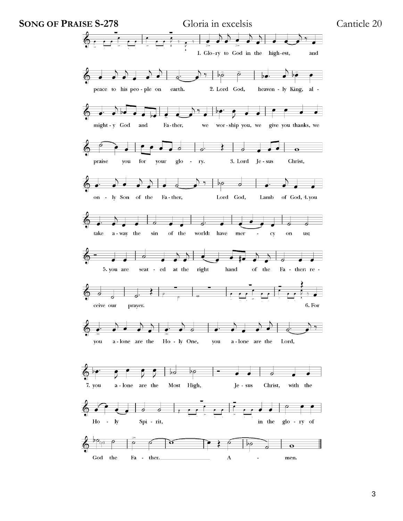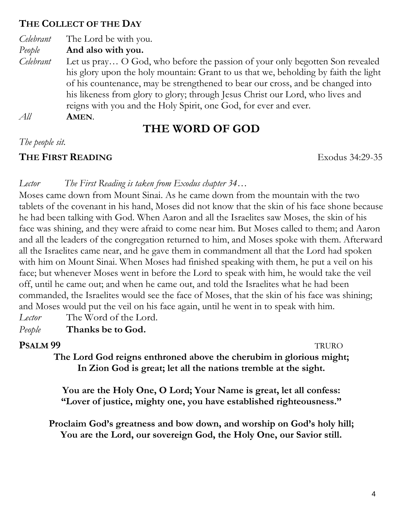## **THE COLLECT OF THE DAY**

*Celebrant* The Lord be with you.

*People* **And also with you.**

- *Celebrant* Let us pray… O God, who before the passion of your only begotten Son revealed his glory upon the holy mountain: Grant to us that we, beholding by faith the light of his countenance, may be strengthened to bear our cross, and be changed into his likeness from glory to glory; through Jesus Christ our Lord, who lives and reigns with you and the Holy Spirit, one God, for ever and ever.
- *All* **AMEN**.

# **THE WORD OF GOD**

*The people sit.*

## **THE FIRST READING** Exodus 34:29-35

## *Lector The First Reading is taken from Exodus chapter 34…*

Moses came down from Mount Sinai. As he came down from the mountain with the two tablets of the covenant in his hand, Moses did not know that the skin of his face shone because he had been talking with God. When Aaron and all the Israelites saw Moses, the skin of his face was shining, and they were afraid to come near him. But Moses called to them; and Aaron and all the leaders of the congregation returned to him, and Moses spoke with them. Afterward all the Israelites came near, and he gave them in commandment all that the Lord had spoken with him on Mount Sinai. When Moses had finished speaking with them, he put a veil on his face; but whenever Moses went in before the Lord to speak with him, he would take the veil off, until he came out; and when he came out, and told the Israelites what he had been commanded, the Israelites would see the face of Moses, that the skin of his face was shining; and Moses would put the veil on his face again, until he went in to speak with him. *Lector* The Word of the Lord.

*People* **Thanks be to God.**

**PSALM 99** TRURO

**The Lord God reigns enthroned above the cherubim in glorious might; In Zion God is great; let all the nations tremble at the sight.**

**You are the Holy One, O Lord; Your Name is great, let all confess: "Lover of justice, mighty one, you have established righteousness."**

**Proclaim God's greatness and bow down, and worship on God's holy hill; You are the Lord, our sovereign God, the Holy One, our Savior still.**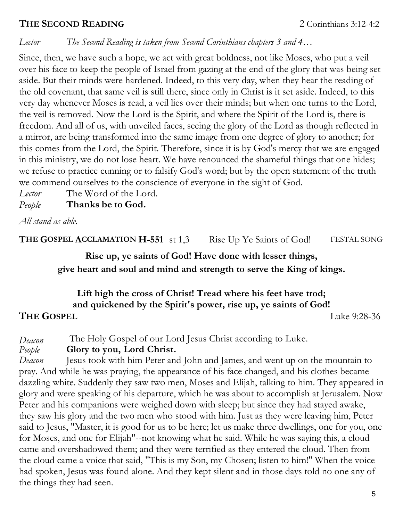## **THE SECOND READING** 2 Corinthians 3:12-4:2

*Lector The Second Reading is taken from Second Corinthians chapters 3 and 4…*

Since, then, we have such a hope, we act with great boldness, not like Moses, who put a veil over his face to keep the people of Israel from gazing at the end of the glory that was being set aside. But their minds were hardened. Indeed, to this very day, when they hear the reading of the old covenant, that same veil is still there, since only in Christ is it set aside. Indeed, to this very day whenever Moses is read, a veil lies over their minds; but when one turns to the Lord, the veil is removed. Now the Lord is the Spirit, and where the Spirit of the Lord is, there is freedom. And all of us, with unveiled faces, seeing the glory of the Lord as though reflected in a mirror, are being transformed into the same image from one degree of glory to another; for this comes from the Lord, the Spirit. Therefore, since it is by God's mercy that we are engaged in this ministry, we do not lose heart. We have renounced the shameful things that one hides; we refuse to practice cunning or to falsify God's word; but by the open statement of the truth we commend ourselves to the conscience of everyone in the sight of God.

*Lector* The Word of the Lord.

*People* **Thanks be to God.**

*All stand as able.*

**THE GOSPEL ACCLAMATION H-551** st 1,3 Rise Up Ye Saints of God! FESTAL SONG

# **Rise up, ye saints of God! Have done with lesser things, give heart and soul and mind and strength to serve the King of kings.**

## **Lift high the cross of Christ! Tread where his feet have trod; and quickened by the Spirit's power, rise up, ye saints of God! THE GOSPEL** Luke 9:28-36

*Deacon* The Holy Gospel of our Lord Jesus Christ according to Luke. *People* **Glory to you, Lord Christ.**

*Deacon* Jesus took with him Peter and John and James, and went up on the mountain to pray. And while he was praying, the appearance of his face changed, and his clothes became dazzling white. Suddenly they saw two men, Moses and Elijah, talking to him. They appeared in glory and were speaking of his departure, which he was about to accomplish at Jerusalem. Now Peter and his companions were weighed down with sleep; but since they had stayed awake, they saw his glory and the two men who stood with him. Just as they were leaving him, Peter said to Jesus, "Master, it is good for us to be here; let us make three dwellings, one for you, one for Moses, and one for Elijah"--not knowing what he said. While he was saying this, a cloud came and overshadowed them; and they were terrified as they entered the cloud. Then from the cloud came a voice that said, "This is my Son, my Chosen; listen to him!" When the voice had spoken, Jesus was found alone. And they kept silent and in those days told no one any of the things they had seen.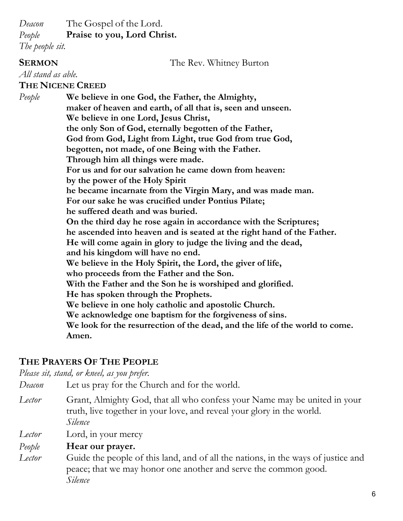*Deacon* The Gospel of the Lord.

*People* **Praise to you, Lord Christ.**

*The people sit.*

## **SERMON** The Rev. Whitney Burton

*All stand as able.*

## **THE NICENE CREED**

*People* **We believe in one God, the Father, the Almighty, maker of heaven and earth, of all that is, seen and unseen. We believe in one Lord, Jesus Christ, the only Son of God, eternally begotten of the Father, God from God, Light from Light, true God from true God, begotten, not made, of one Being with the Father. Through him all things were made. For us and for our salvation he came down from heaven: by the power of the Holy Spirit he became incarnate from the Virgin Mary, and was made man. For our sake he was crucified under Pontius Pilate; he suffered death and was buried. On the third day he rose again in accordance with the Scriptures; he ascended into heaven and is seated at the right hand of the Father. He will come again in glory to judge the living and the dead, and his kingdom will have no end. We believe in the Holy Spirit, the Lord, the giver of life, who proceeds from the Father and the Son. With the Father and the Son he is worshiped and glorified. He has spoken through the Prophets. We believe in one holy catholic and apostolic Church. We acknowledge one baptism for the forgiveness of sins. We look for the resurrection of the dead, and the life of the world to come. Amen.**

# **THE PRAYERS OF THE PEOPLE**

*Please sit, stand, or kneel, as you prefer.*

*Deacon* Let us pray for the Church and for the world.

*Lector* Grant, Almighty God, that all who confess your Name may be united in your truth, live together in your love, and reveal your glory in the world. *Silence*

*Lector* Lord, in your mercy

## *People* **Hear our prayer.**

*Lector* Guide the people of this land, and of all the nations, in the ways of justice and peace; that we may honor one another and serve the common good. *Silence*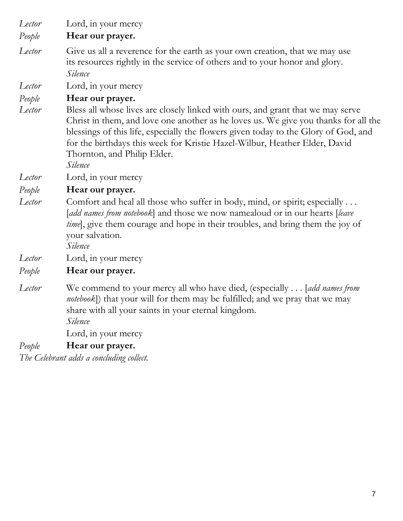*Lector* Lord, in your mercy *People* **Hear our prayer.** *Lector* Give us all a reverence for the earth as your own creation, that we may use its resources rightly in the service of others and to your honor and glory. *Silence Lector* Lord, in your mercy *People* **Hear our prayer.** *Lector* Bless all whose lives are closely linked with ours, and grant that we may serve Christ in them, and love one another as he loves us. We give you thanks for all the blessings of this life, especially the flowers given today to the Glory of God, and for the birthdays this week for Kristie Hazel-Wilbur, Heather Elder, David Thornton, and Philip Elder. *Silence Lector* Lord, in your mercy *People* **Hear our prayer.** *Lector* Comfort and heal all those who suffer in body, mind, or spirit; especially ... [*add names from notebook*] and those we now namealoud or in our hearts [*leave time*, give them courage and hope in their troubles, and bring them the joy of your salvation. *Silence Lector* Lord, in your mercy *People* **Hear our prayer.**

*Lector* We commend to your mercy all who have died, (especially . . . [*add names from notebook*]) that your will for them may be fulfilled; and we pray that we may share with all your saints in your eternal kingdom.

*Silence*

Lord, in your mercy

## *People* **Hear our prayer.**

*The Celebrant adds a concluding collect.*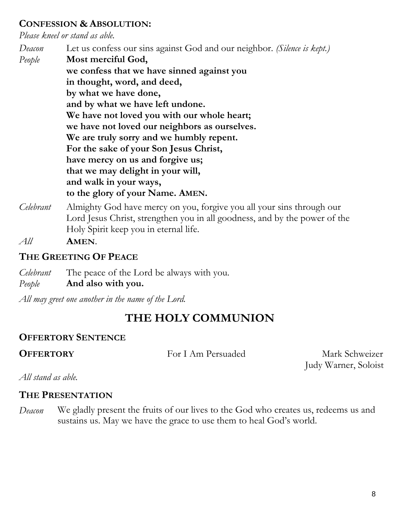# **CONFESSION & ABSOLUTION:**

*Please kneel or stand as able.*

*Deacon* Let us confess our sins against God and our neighbor. *(Silence is kept.) People* **Most merciful God, we confess that we have sinned against you in thought, word, and deed, by what we have done, and by what we have left undone. We have not loved you with our whole heart; we have not loved our neighbors as ourselves. We are truly sorry and we humbly repent. For the sake of your Son Jesus Christ, have mercy on us and forgive us; that we may delight in your will, and walk in your ways, to the glory of your Name. AMEN.**

*Celebrant* Almighty God have mercy on you, forgive you all your sins through our Lord Jesus Christ, strengthen you in all goodness, and by the power of the Holy Spirit keep you in eternal life.

*All* **AMEN**.

# **THE GREETING OF PEACE**

*Celebrant* The peace of the Lord be always with you.

*People* **And also with you.**

*All may greet one another in the name of the Lord.*

# **THE HOLY COMMUNION**

# **OFFERTORY SENTENCE**

**OFFERTORY** For I Am Persuaded Mark Schweizer Judy Warner, Soloist

*All stand as able.*

# **THE PRESENTATION**

*Deacon* We gladly present the fruits of our lives to the God who creates us, redeems us and sustains us. May we have the grace to use them to heal God's world.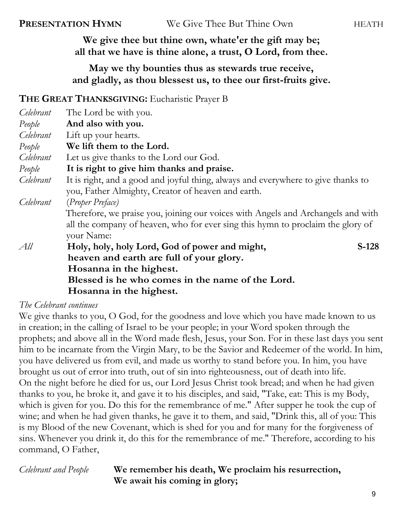**We give thee but thine own, whate'er the gift may be; all that we have is thine alone, a trust, O Lord, from thee.**

# **May we thy bounties thus as stewards true receive, and gladly, as thou blessest us, to thee our first-fruits give.**

## **THE GREAT THANKSGIVING:** Eucharistic Prayer B

| The Lord be with you.                                                             |
|-----------------------------------------------------------------------------------|
| And also with you.                                                                |
| Lift up your hearts.                                                              |
| We lift them to the Lord.                                                         |
| Let us give thanks to the Lord our God.                                           |
| It is right to give him thanks and praise.                                        |
| It is right, and a good and joyful thing, always and everywhere to give thanks to |
| you, Father Almighty, Creator of heaven and earth.                                |
| (Proper Preface)                                                                  |
| Therefore, we praise you, joining our voices with Angels and Archangels and with  |
| all the company of heaven, who for ever sing this hymn to proclaim the glory of   |
| your Name:                                                                        |
| Holy, holy, holy Lord, God of power and might,<br>$S-128$                         |
| heaven and earth are full of your glory.                                          |
| Hosanna in the highest.                                                           |
| Blessed is he who comes in the name of the Lord.                                  |
| Hosanna in the highest.                                                           |
|                                                                                   |

## *The Celebrant continues*

We give thanks to you, O God, for the goodness and love which you have made known to us in creation; in the calling of Israel to be your people; in your Word spoken through the prophets; and above all in the Word made flesh, Jesus, your Son. For in these last days you sent him to be incarnate from the Virgin Mary, to be the Savior and Redeemer of the world. In him, you have delivered us from evil, and made us worthy to stand before you. In him, you have brought us out of error into truth, out of sin into righteousness, out of death into life. On the night before he died for us, our Lord Jesus Christ took bread; and when he had given thanks to you, he broke it, and gave it to his disciples, and said, "Take, eat: This is my Body, which is given for you. Do this for the remembrance of me." After supper he took the cup of wine; and when he had given thanks, he gave it to them, and said, "Drink this, all of you: This is my Blood of the new Covenant, which is shed for you and for many for the forgiveness of sins. Whenever you drink it, do this for the remembrance of me." Therefore, according to his command, O Father,

## *Celebrant and People* **We remember his death, We proclaim his resurrection, We await his coming in glory;**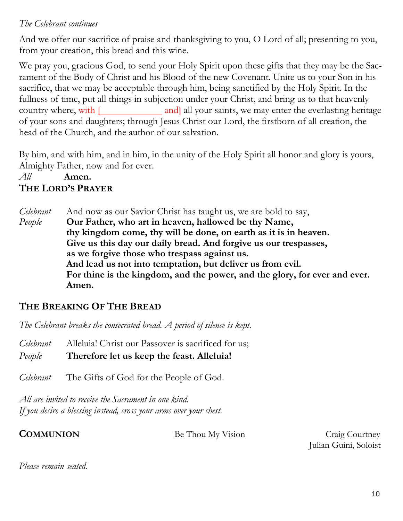## *The Celebrant continues*

And we offer our sacrifice of praise and thanksgiving to you, O Lord of all; presenting to you, from your creation, this bread and this wine.

We pray you, gracious God, to send your Holy Spirit upon these gifts that they may be the Sacrament of the Body of Christ and his Blood of the new Covenant. Unite us to your Son in his sacrifice, that we may be acceptable through him, being sanctified by the Holy Spirit. In the fullness of time, put all things in subjection under your Christ, and bring us to that heavenly country where, with  $\boxed{\phantom{a}}$  and all your saints, we may enter the everlasting heritage of your sons and daughters; through Jesus Christ our Lord, the firstborn of all creation, the head of the Church, and the author of our salvation.

By him, and with him, and in him, in the unity of the Holy Spirit all honor and glory is yours, Almighty Father, now and for ever.

# *All* **Amen.**

# **THE LORD'S PRAYER**

*Celebrant* And now as our Savior Christ has taught us, we are bold to say, *People* **Our Father, who art in heaven, hallowed be thy Name, thy kingdom come, thy will be done, on earth as it is in heaven. Give us this day our daily bread. And forgive us our trespasses, as we forgive those who trespass against us. And lead us not into temptation, but deliver us from evil. For thine is the kingdom, and the power, and the glory, for ever and ever. Amen.**

# **THE BREAKING OF THE BREAD**

*The Celebrant breaks the consecrated bread. A period of silence is kept.*

*Celebrant* Alleluia! Christ our Passover is sacrificed for us; *People* **Therefore let us keep the feast. Alleluia!**

*Celebrant* The Gifts of God for the People of God.

*All are invited to receive the Sacrament in one kind. If you desire a blessing instead, cross your arms over your chest.*

**COMMUNION** Be Thou My Vision Craig Courtney

Julian Guini, Soloist

*Please remain seated.*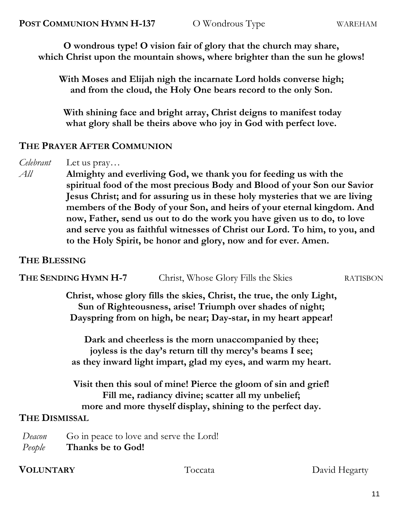**O wondrous type! O vision fair of glory that the church may share, which Christ upon the mountain shows, where brighter than the sun he glows!**

**With Moses and Elijah nigh the incarnate Lord holds converse high; and from the cloud, the Holy One bears record to the only Son.**

**With shining face and bright array, Christ deigns to manifest today what glory shall be theirs above who joy in God with perfect love.** 

## **THE PRAYER AFTER COMMUNION**

*Celebrant* Let us pray… *All* **Almighty and everliving God, we thank you for feeding us with the spiritual food of the most precious Body and Blood of your Son our Savior Jesus Christ; and for assuring us in these holy mysteries that we are living members of the Body of your Son, and heirs of your eternal kingdom. And now, Father, send us out to do the work you have given us to do, to love and serve you as faithful witnesses of Christ our Lord. To him, to you, and to the Holy Spirit, be honor and glory, now and for ever. Amen.**

## **THE BLESSING**

**THE SENDING HYMN H-7** Christ, Whose Glory Fills the Skies RATISBON

**Christ, whose glory fills the skies, Christ, the true, the only Light, Sun of Righteousness, arise! Triumph over shades of night; Dayspring from on high, be near; Day-star, in my heart appear!**

**Dark and cheerless is the morn unaccompanied by thee; joyless is the day's return till thy mercy's beams I see; as they inward light impart, glad my eyes, and warm my heart.**

**Visit then this soul of mine! Pierce the gloom of sin and grief! Fill me, radiancy divine; scatter all my unbelief; more and more thyself display, shining to the perfect day.**

## **THE DISMISSAL**

*Deacon* Go in peace to love and serve the Lord! *People* **Thanks be to God!**

## **VOLUNTARY** Toccata David Hegarty